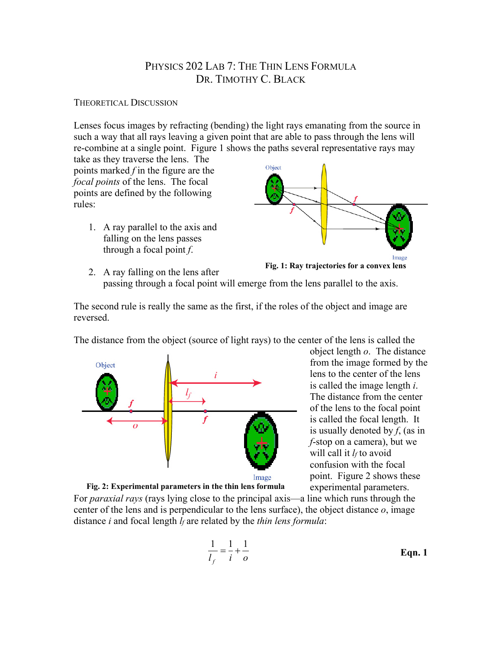# PHYSICS 202 LAB 7: THE THIN LENS FORMULA DR. TIMOTHY C. BLACK

## THEORETICAL DISCUSSION

Lenses focus images by refracting (bending) the light rays emanating from the source in such a way that all rays leaving a given point that are able to pass through the lens will re-combine at a single point. Figure 1 shows the paths several representative rays may take as they traverse the lens. The

points marked *f* in the figure are the *focal points* of the lens. The focal points are defined by the following rules:

> 1. A ray parallel to the axis and falling on the lens passes through a focal point *f*.





2. A ray falling on the lens after passing through a focal point will emerge from the lens parallel to the axis.

The second rule is really the same as the first, if the roles of the object and image are reversed.

The distance from the object (source of light rays) to the center of the lens is called the



object length *o*. The distance from the image formed by the lens to the center of the lens is called the image length *i*. The distance from the center of the lens to the focal point is called the focal length. It is usually denoted by *f*, (as in *f*-stop on a camera), but we will call it *l<sub>f</sub>* to avoid confusion with the focal point. Figure 2 shows these experimental parameters.

Image

**Fig. 2: Experimental parameters in the thin lens formula**

For *paraxial rays* (rays lying close to the principal axis—a line which runs through the center of the lens and is perpendicular to the lens surface), the object distance *o*, image distance *i* and focal length *lf* are related by the *thin lens formula*:

$$
\frac{1}{l_f} = \frac{1}{i} + \frac{1}{o}
$$
 Eqn. 1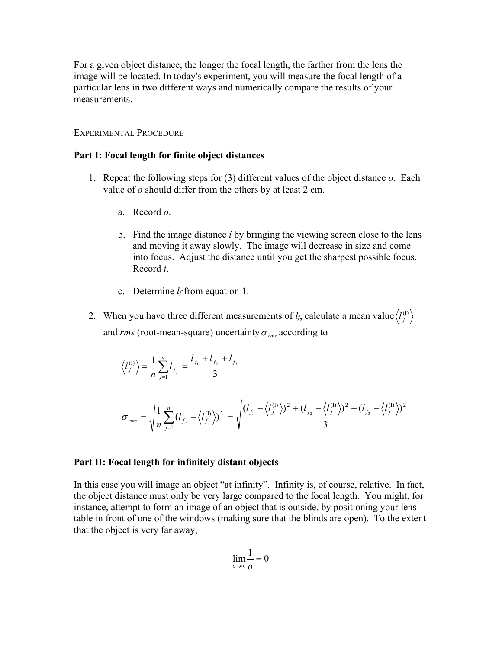For a given object distance, the longer the focal length, the farther from the lens the image will be located. In today's experiment, you will measure the focal length of a particular lens in two different ways and numerically compare the results of your measurements.

### EXPERIMENTAL PROCEDURE

#### **Part I: Focal length for finite object distances**

- 1. Repeat the following steps for (3) different values of the object distance *o*. Each value of *o* should differ from the others by at least 2 cm.
	- a. Record *o*.
	- b. Find the image distance *i* by bringing the viewing screen close to the lens and moving it away slowly. The image will decrease in size and come into focus. Adjust the distance until you get the sharpest possible focus. Record *i*.
	- c. Determine *lf* from equation 1.
- 2. When you have three different measurements of  $l_f$ , calculate a mean value  $\left\langle l_f^{\scriptscriptstyle{(1)}}\right\rangle$ and *rms* (root-mean-square) uncertainty  $\sigma_{rms}$  according to

$$
\langle l_f^{(1)} \rangle = \frac{1}{n} \sum_{j=1}^{n} l_{f_j} = \frac{l_{f_1} + l_{f_2} + l_{f_3}}{3}
$$

$$
\sigma_{rms} = \sqrt{\frac{1}{n} \sum_{j=1}^{n} (l_{f_j} - \langle l_f^{(1)} \rangle)^2} = \sqrt{\frac{(l_{f_1} - \langle l_f^{(1)} \rangle)^2 + (l_{f_2} - \langle l_f^{(1)} \rangle)^2 + (l_{f_3} - \langle l_f^{(1)} \rangle)^2}{3}}
$$

#### **Part II: Focal length for infinitely distant objects**

In this case you will image an object "at infinity". Infinity is, of course, relative. In fact, the object distance must only be very large compared to the focal length. You might, for instance, attempt to form an image of an object that is outside, by positioning your lens table in front of one of the windows (making sure that the blinds are open). To the extent that the object is very far away,

$$
\lim_{\rho \to \infty} \frac{1}{\rho} = 0
$$